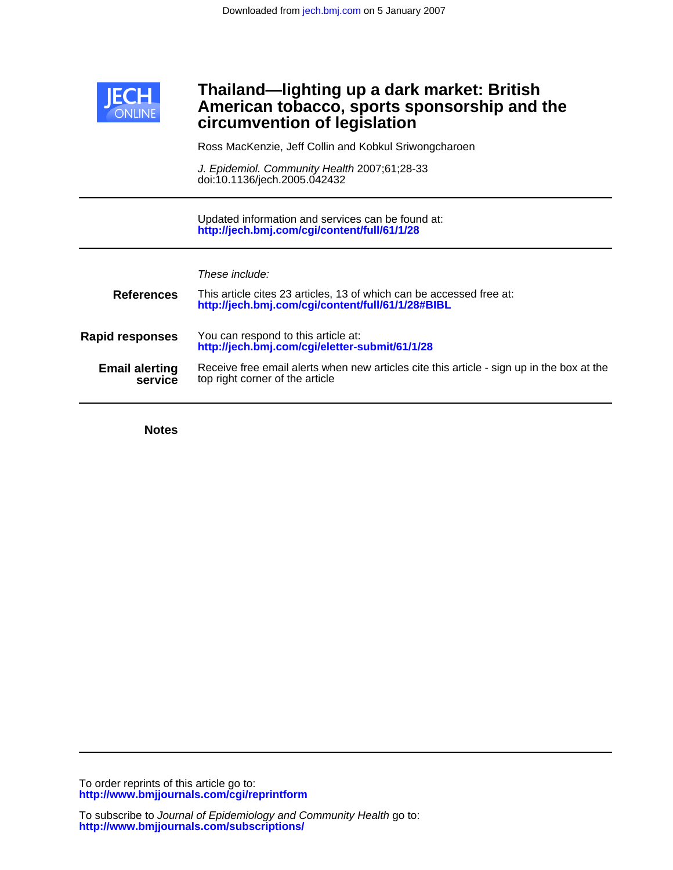

## **circumvention of legislation American tobacco, sports sponsorship and the Thailand—lighting up a dark market: British**

Ross MacKenzie, Jeff Collin and Kobkul Sriwongcharoen

doi:10.1136/jech.2005.042432 J. Epidemiol. Community Health 2007;61;28-33

**<http://jech.bmj.com/cgi/content/full/61/1/28>** Updated information and services can be found at:

These include:

| <b>References</b>                | This article cites 23 articles, 13 of which can be accessed free at:<br>http://jech.bmj.com/cgi/content/full/61/1/28#BIBL    |
|----------------------------------|------------------------------------------------------------------------------------------------------------------------------|
| <b>Rapid responses</b>           | You can respond to this article at:<br>http://jech.bmj.com/cgi/eletter-submit/61/1/28                                        |
| <b>Email alerting</b><br>service | Receive free email alerts when new articles cite this article - sign up in the box at the<br>top right corner of the article |

**Notes**

**<http://www.bmjjournals.com/cgi/reprintform>** To order reprints of this article go to: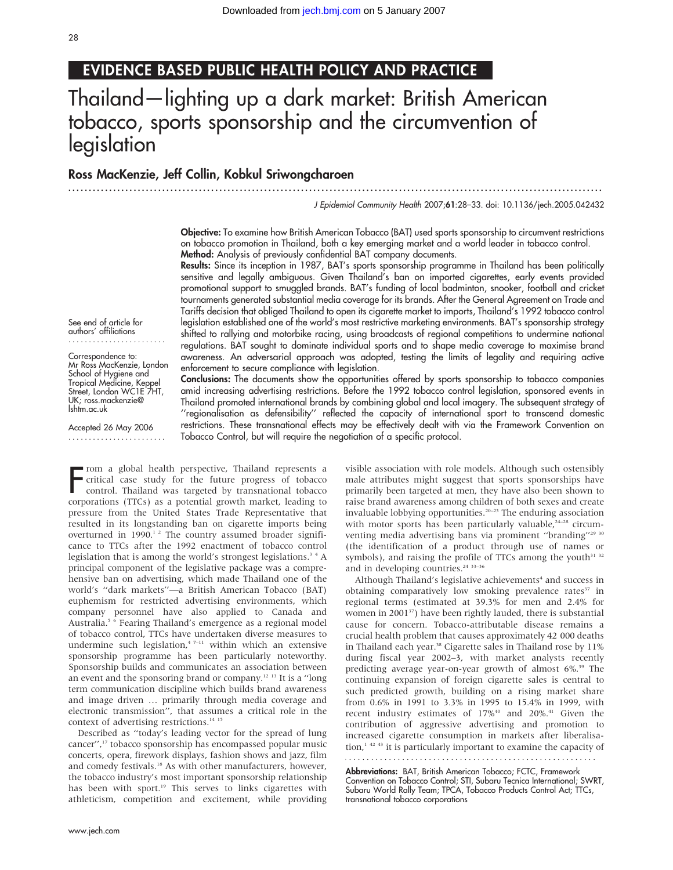## EVIDENCE BASED PUBLIC HEALTH POLICY AND PRACTICE

# Thailand—lighting up a dark market: British American tobacco, sports sponsorship and the circumvention of legislation

### Ross MacKenzie, Jeff Collin, Kobkul Sriwongcharoen

............................................................... ............................................................... .....

J Epidemiol Community Health 2007;61:28–33. doi: 10.1136/jech.2005.042432

Objective: To examine how British American Tobacco (BAT) used sports sponsorship to circumvent restrictions on tobacco promotion in Thailand, both a key emerging market and a world leader in tobacco control. Method: Analysis of previously confidential BAT company documents.

Results: Since its inception in 1987, BAT's sports sponsorship programme in Thailand has been politically sensitive and legally ambiguous. Given Thailand's ban on imported cigarettes, early events provided promotional support to smuggled brands. BAT's funding of local badminton, snooker, football and cricket tournaments generated substantial media coverage for its brands. After the General Agreement on Trade and Tariffs decision that obliged Thailand to open its cigarette market to imports, Thailand's 1992 tobacco control legislation established one of the world's most restrictive marketing environments. BAT's sponsorship strategy shifted to rallying and motorbike racing, using broadcasts of regional competitions to undermine national regulations. BAT sought to dominate individual sports and to shape media coverage to maximise brand awareness. An adversarial approach was adopted, testing the limits of legality and requiring active enforcement to secure compliance with legislation.

Conclusions: The documents show the opportunities offered by sports sponsorship to tobacco companies amid increasing advertising restrictions. Before the 1992 tobacco control legislation, sponsored events in Thailand promoted international brands by combining global and local imagery. The subsequent strategy of ''regionalisation as defensibility'' reflected the capacity of international sport to transcend domestic restrictions. These transnational effects may be effectively dealt with via the Framework Convention on Tobacco Control, but will require the negotiation of a specific protocol.

See end of article for authors' affiliations ........................

Correspondence to: Mr Ross MacKenzie, London School of Hygiene and Tropical Medicine, Keppel Street, London WC1E 7HT, UK; ross.mackenzie@ lshtm.ac.uk

Accepted 26 May 2006 ........................

From a global health perspective, Thailand represents a<br>critical case study for the future progress of tobacco<br>corporations (TTCs) as a potential growth market, leading to rom a global health perspective, Thailand represents a critical case study for the future progress of tobacco control. Thailand was targeted by transnational tobacco pressure from the United States Trade Representative that resulted in its longstanding ban on cigarette imports being overturned in 1990. $12$  The country assumed broader significance to TTCs after the 1992 enactment of tobacco control legislation that is among the world's strongest legislations.<sup>34</sup> A principal component of the legislative package was a comprehensive ban on advertising, which made Thailand one of the world's ''dark markets''—a British American Tobacco (BAT) euphemism for restricted advertising environments, which company personnel have also applied to Canada and Australia.<sup>5 6</sup> Fearing Thailand's emergence as a regional model of tobacco control, TTCs have undertaken diverse measures to undermine such legislation, $47-11$  within which an extensive sponsorship programme has been particularly noteworthy. Sponsorship builds and communicates an association between an event and the sponsoring brand or company.12 13 It is a ''long term communication discipline which builds brand awareness and image driven … primarily through media coverage and electronic transmission'', that assumes a critical role in the context of advertising restrictions.<sup>14 15</sup>

Described as ''today's leading vector for the spread of lung cancer'',17 tobacco sponsorship has encompassed popular music concerts, opera, firework displays, fashion shows and jazz, film and comedy festivals.<sup>18</sup> As with other manufacturers, however, the tobacco industry's most important sponsorship relationship has been with sport.<sup>19</sup> This serves to links cigarettes with athleticism, competition and excitement, while providing

www.jech.com

visible association with role models. Although such ostensibly male attributes might suggest that sports sponsorships have primarily been targeted at men, they have also been shown to raise brand awareness among children of both sexes and create invaluable lobbying opportunities.<sup>20-23</sup> The enduring association with motor sports has been particularly valuable, $24-28$  circumventing media advertising bans via prominent "branding"<sup>29 30</sup> (the identification of a product through use of names or symbols), and raising the profile of TTCs among the youth<sup>31 32</sup> and in developing countries.<sup>24 33-36</sup>

Although Thailand's legislative achievements<sup>4</sup> and success in obtaining comparatively low smoking prevalence rates<sup>37</sup> in regional terms (estimated at 39.3% for men and 2.4% for women in 2001<sup>37</sup>) have been rightly lauded, there is substantial cause for concern. Tobacco-attributable disease remains a crucial health problem that causes approximately 42 000 deaths in Thailand each year.<sup>38</sup> Cigarette sales in Thailand rose by 11% during fiscal year 2002–3, with market analysts recently predicting average year-on-year growth of almost 6%.<sup>39</sup> The continuing expansion of foreign cigarette sales is central to such predicted growth, building on a rising market share from 0.6% in 1991 to 3.3% in 1995 to 15.4% in 1999, with recent industry estimates of 17%<sup>40</sup> and 20%.<sup>41</sup> Given the contribution of aggressive advertising and promotion to increased cigarette consumption in markets after liberalisation, $1^{42}$ <sup>43</sup> it is particularly important to examine the capacity of 

Abbreviations: BAT, British American Tobacco; FCTC, Framework Convention on Tobacco Control; STI, Subaru Tecnica International; SWRT, Subaru World Rally Team; TPCA, Tobacco Products Control Act; TTCs, transnational tobacco corporations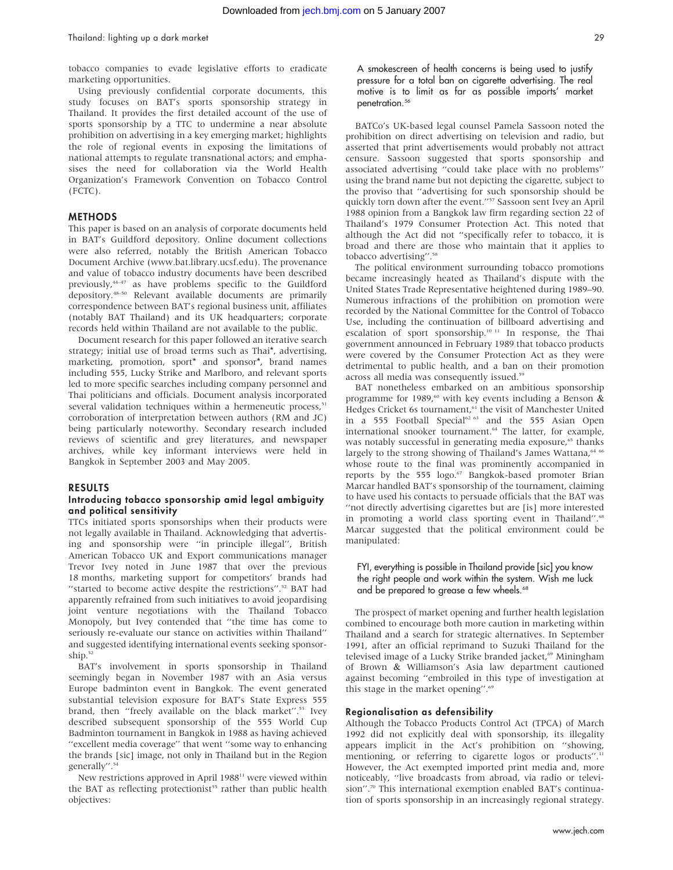tobacco companies to evade legislative efforts to eradicate marketing opportunities.

Using previously confidential corporate documents, this study focuses on BAT's sports sponsorship strategy in Thailand. It provides the first detailed account of the use of sports sponsorship by a TTC to undermine a near absolute prohibition on advertising in a key emerging market; highlights the role of regional events in exposing the limitations of national attempts to regulate transnational actors; and emphasises the need for collaboration via the World Health Organization's Framework Convention on Tobacco Control (FCTC).

#### METHODS

This paper is based on an analysis of corporate documents held in BAT's Guildford depository. Online document collections were also referred, notably the British American Tobacco Document Archive (www.bat.library.ucsf.edu). The provenance and value of tobacco industry documents have been described previously,<sup>44-47</sup> as have problems specific to the Guildford depository.48–50 Relevant available documents are primarily correspondence between BAT's regional business unit, affiliates (notably BAT Thailand) and its UK headquarters; corporate records held within Thailand are not available to the public.

Document research for this paper followed an iterative search strategy; initial use of broad terms such as Thai\*, advertising, marketing, promotion, sport\* and sponsor\*, brand names including 555, Lucky Strike and Marlboro, and relevant sports led to more specific searches including company personnel and Thai politicians and officials. Document analysis incorporated several validation techniques within a hermeneutic process,<sup>51</sup> corroboration of interpretation between authors (RM and JC) being particularly noteworthy. Secondary research included reviews of scientific and grey literatures, and newspaper archives, while key informant interviews were held in Bangkok in September 2003 and May 2005.

#### RESULTS

#### Introducing tobacco sponsorship amid legal ambiguity and political sensitivity

TTCs initiated sports sponsorships when their products were not legally available in Thailand. Acknowledging that advertising and sponsorship were ''in principle illegal'', British American Tobacco UK and Export communications manager Trevor Ivey noted in June 1987 that over the previous 18 months, marketing support for competitors' brands had "started to become active despite the restrictions".<sup>52</sup> BAT had apparently refrained from such initiatives to avoid jeopardising joint venture negotiations with the Thailand Tobacco Monopoly, but Ivey contended that ''the time has come to seriously re-evaluate our stance on activities within Thailand'' and suggested identifying international events seeking sponsorship.<sup>52</sup>

BAT's involvement in sports sponsorship in Thailand seemingly began in November 1987 with an Asia versus Europe badminton event in Bangkok. The event generated substantial television exposure for BAT's State Express 555 brand, then "freely available on the black market".<sup>53</sup> Ivey described subsequent sponsorship of the 555 World Cup Badminton tournament in Bangkok in 1988 as having achieved ''excellent media coverage'' that went ''some way to enhancing the brands [sic] image, not only in Thailand but in the Region generally".<sup>54</sup>

New restrictions approved in April 1988<sup>11</sup> were viewed within the BAT as reflecting protectionist<sup>55</sup> rather than public health objectives:

A smokescreen of health concerns is being used to justify pressure for a total ban on cigarette advertising. The real motive is to limit as far as possible imports' market penetration.<sup>56</sup>

BATCo's UK-based legal counsel Pamela Sassoon noted the prohibition on direct advertising on television and radio, but asserted that print advertisements would probably not attract censure. Sassoon suggested that sports sponsorship and associated advertising ''could take place with no problems'' using the brand name but not depicting the cigarette, subject to the proviso that ''advertising for such sponsorship should be quickly torn down after the event."<sup>57</sup> Sassoon sent Ivey an April 1988 opinion from a Bangkok law firm regarding section 22 of Thailand's 1979 Consumer Protection Act. This noted that although the Act did not ''specifically refer to tobacco, it is broad and there are those who maintain that it applies to tobacco advertising".<sup>58</sup>

The political environment surrounding tobacco promotions became increasingly heated as Thailand's dispute with the United States Trade Representative heightened during 1989–90. Numerous infractions of the prohibition on promotion were recorded by the National Committee for the Control of Tobacco Use, including the continuation of billboard advertising and escalation of sport sponsorship.10 11 In response, the Thai government announced in February 1989 that tobacco products were covered by the Consumer Protection Act as they were detrimental to public health, and a ban on their promotion across all media was consequently issued.<sup>59</sup>

BAT nonetheless embarked on an ambitious sponsorship programme for 1989,<sup>60</sup> with key events including a Benson  $\alpha$ Hedges Cricket 6s tournament,<sup>61</sup> the visit of Manchester United in a 555 Football Special<sup>62 63</sup> and the 555 Asian Open international snooker tournament.<sup>64</sup> The latter, for example, was notably successful in generating media exposure,<sup>65</sup> thanks largely to the strong showing of Thailand's James Wattana,<sup>64</sup> whose route to the final was prominently accompanied in reports by the 555 logo.<sup>67</sup> Bangkok-based promoter Brian Marcar handled BAT's sponsorship of the tournament, claiming to have used his contacts to persuade officials that the BAT was ''not directly advertising cigarettes but are [is] more interested in promoting a world class sporting event in Thailand".<sup>68</sup> Marcar suggested that the political environment could be manipulated:

#### FYI, everything is possible in Thailand provide [sic] you know the right people and work within the system. Wish me luck and be prepared to grease a few wheels.<sup>68</sup>

The prospect of market opening and further health legislation combined to encourage both more caution in marketing within Thailand and a search for strategic alternatives. In September 1991, after an official reprimand to Suzuki Thailand for the televised image of a Lucky Strike branded jacket,<sup>69</sup> Miningham of Brown & Williamson's Asia law department cautioned against becoming ''embroiled in this type of investigation at this stage in the market opening''.69

#### Regionalisation as defensibility

Although the Tobacco Products Control Act (TPCA) of March 1992 did not explicitly deal with sponsorship, its illegality appears implicit in the Act's prohibition on ''showing, mentioning, or referring to cigarette logos or products".<sup>11</sup> However, the Act exempted imported print media and, more noticeably, ''live broadcasts from abroad, via radio or television''.70 This international exemption enabled BAT's continuation of sports sponsorship in an increasingly regional strategy.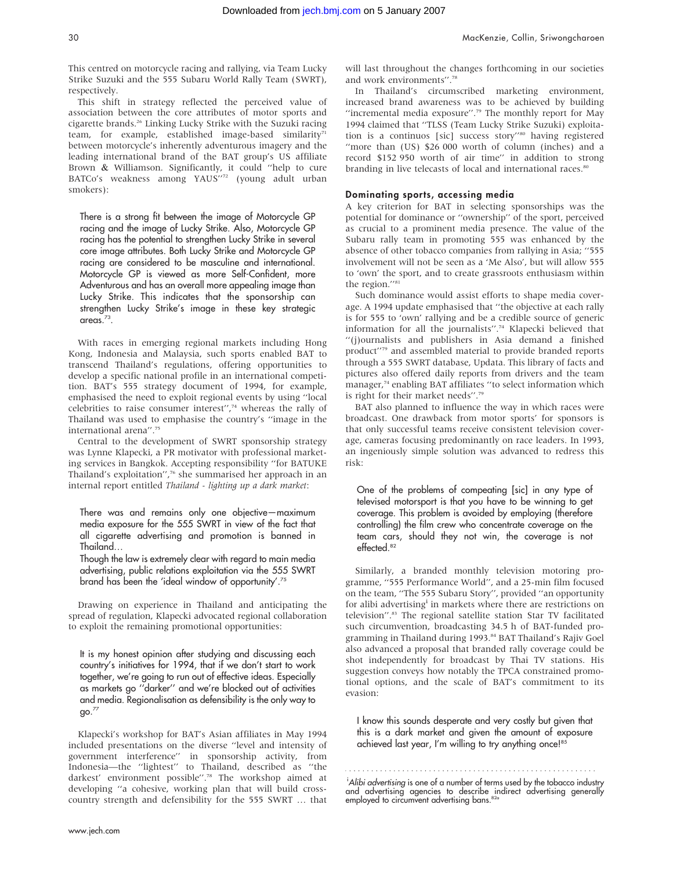This centred on motorcycle racing and rallying, via Team Lucky Strike Suzuki and the 555 Subaru World Rally Team (SWRT), respectively.

This shift in strategy reflected the perceived value of association between the core attributes of motor sports and cigarette brands.26 Linking Lucky Strike with the Suzuki racing team, for example, established image-based similarity $71$ between motorcycle's inherently adventurous imagery and the leading international brand of the BAT group's US affiliate Brown & Williamson. Significantly, it could ''help to cure BATCo's weakness among YAUS"<sup>72</sup> (young adult urban smokers):

There is a strong fit between the image of Motorcycle GP racing and the image of Lucky Strike. Also, Motorcycle GP racing has the potential to strengthen Lucky Strike in several core image attributes. Both Lucky Strike and Motorcycle GP racing are considered to be masculine and international. Motorcycle GP is viewed as more Self-Confident, more Adventurous and has an overall more appealing image than Lucky Strike. This indicates that the sponsorship can strengthen Lucky Strike's image in these key strategic areas. $73$ .

With races in emerging regional markets including Hong Kong, Indonesia and Malaysia, such sports enabled BAT to transcend Thailand's regulations, offering opportunities to develop a specific national profile in an international competition. BAT's 555 strategy document of 1994, for example, emphasised the need to exploit regional events by using ''local celebrities to raise consumer interest'',74 whereas the rally of Thailand was used to emphasise the country's ''image in the international arena''.75

Central to the development of SWRT sponsorship strategy was Lynne Klapecki, a PR motivator with professional marketing services in Bangkok. Accepting responsibility ''for BATUKE Thailand's exploitation'',76 she summarised her approach in an internal report entitled Thailand - lighting up a dark market:

There was and remains only one objective—maximum media exposure for the 555 SWRT in view of the fact that all cigarette advertising and promotion is banned in Thailand…

Though the law is extremely clear with regard to main media advertising, public relations exploitation via the 555 SWRT brand has been the 'ideal window of opportunity'.75

Drawing on experience in Thailand and anticipating the spread of regulation, Klapecki advocated regional collaboration to exploit the remaining promotional opportunities:

It is my honest opinion after studying and discussing each country's initiatives for 1994, that if we don't start to work together, we're going to run out of effective ideas. Especially as markets go ''darker'' and we're blocked out of activities and media. Regionalisation as defensibility is the only way to go.77

Klapecki's workshop for BAT's Asian affiliates in May 1994 included presentations on the diverse ''level and intensity of government interference'' in sponsorship activity, from Indonesia—the ''lightest'' to Thailand, described as ''the darkest' environment possible''.78 The workshop aimed at developing ''a cohesive, working plan that will build crosscountry strength and defensibility for the 555 SWRT … that

will last throughout the changes forthcoming in our societies and work environments''.78

In Thailand's circumscribed marketing environment, increased brand awareness was to be achieved by building "incremental media exposure".<sup>79</sup> The monthly report for May 1994 claimed that ''TLSS (Team Lucky Strike Suzuki) exploitation is a continuos [sic] success story''80 having registered ''more than (US) \$26 000 worth of column (inches) and a record \$152 950 worth of air time'' in addition to strong branding in live telecasts of local and international races.<sup>80</sup>

#### Dominating sports, accessing media

A key criterion for BAT in selecting sponsorships was the potential for dominance or ''ownership'' of the sport, perceived as crucial to a prominent media presence. The value of the Subaru rally team in promoting 555 was enhanced by the absence of other tobacco companies from rallying in Asia; ''555 involvement will not be seen as a 'Me Also', but will allow 555 to 'own' the sport, and to create grassroots enthusiasm within the region."<sup>81</sup>

Such dominance would assist efforts to shape media coverage. A 1994 update emphasised that ''the objective at each rally is for 555 to 'own' rallying and be a credible source of generic information for all the journalists''.74 Klapecki believed that ''(j)ournalists and publishers in Asia demand a finished product''79 and assembled material to provide branded reports through a 555 SWRT database, Updata. This library of facts and pictures also offered daily reports from drivers and the team manager,<sup>74</sup> enabling BAT affiliates "to select information which is right for their market needs''.79

BAT also planned to influence the way in which races were broadcast. One drawback from motor sports' for sponsors is that only successful teams receive consistent television coverage, cameras focusing predominantly on race leaders. In 1993, an ingeniously simple solution was advanced to redress this risk:

One of the problems of compeating [sic] in any type of televised motorsport is that you have to be winning to get coverage. This problem is avoided by employing (therefore controlling) the film crew who concentrate coverage on the team cars, should they not win, the coverage is not effected.<sup>82</sup>

Similarly, a branded monthly television motoring programme, ''555 Performance World'', and a 25-min film focused on the team, ''The 555 Subaru Story'', provided ''an opportunity for alibi advertising<sup>i</sup> in markets where there are restrictions on television".<sup>83</sup> The regional satellite station Star TV facilitated such circumvention, broadcasting 34.5 h of BAT-funded programming in Thailand during 1993.<sup>84</sup> BAT Thailand's Rajiv Goel also advanced a proposal that branded rally coverage could be shot independently for broadcast by Thai TV stations. His suggestion conveys how notably the TPCA constrained promotional options, and the scale of BAT's commitment to its evasion:

I know this sounds desperate and very costly but given that this is a dark market and given the amount of exposure achieved last year, I'm willing to try anything once!<sup>85</sup>

i Alibi advertising is one of a number of terms used by the tobacco industry and advertising agencies to describe indirect advertising generally employed to circumvent advertising bans.<sup>8</sup>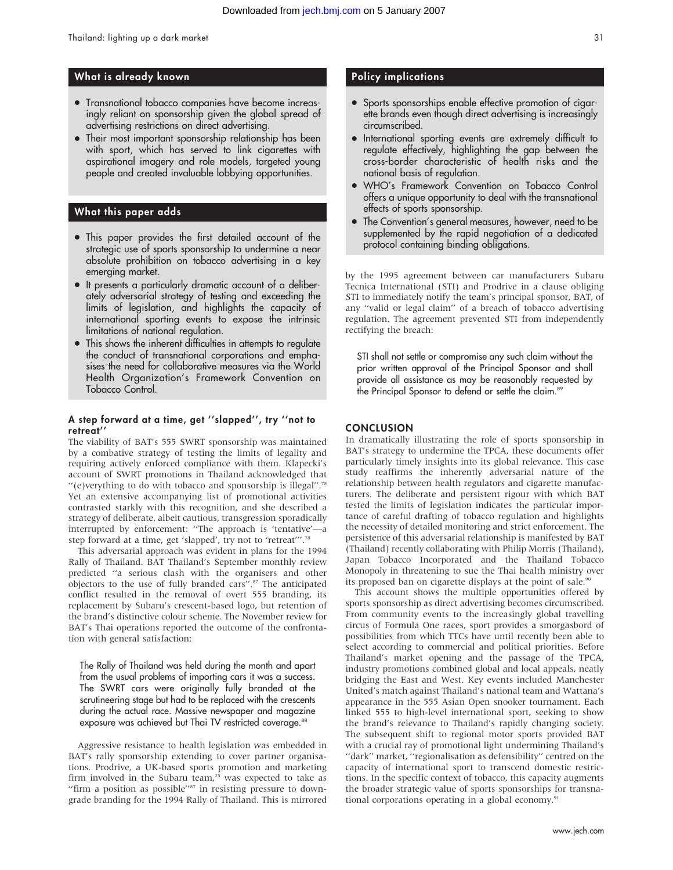#### What is already known

- Transnational tobacco companies have become increasingly reliant on sponsorship given the global spread of advertising restrictions on direct advertising.
- Their most important sponsorship relationship has been with sport, which has served to link cigarettes with aspirational imagery and role models, targeted young people and created invaluable lobbying opportunities.

#### What this paper adds

- This paper provides the first detailed account of the strategic use of sports sponsorship to undermine a near absolute prohibition on tobacco advertising in a key emerging market.
- It presents a particularly dramatic account of a deliberately adversarial strategy of testing and exceeding the limits of legislation, and highlights the capacity of international sporting events to expose the intrinsic limitations of national regulation.
- This shows the inherent difficulties in attempts to regulate the conduct of transnational corporations and emphasises the need for collaborative measures via the World Health Organization's Framework Convention on Tobacco Control.

#### A step forward at a time, get ''slapped'', try ''not to retreat''

The viability of BAT's 555 SWRT sponsorship was maintained by a combative strategy of testing the limits of legality and requiring actively enforced compliance with them. Klapecki's account of SWRT promotions in Thailand acknowledged that ''(e)verything to do with tobacco and sponsorship is illegal''.78 Yet an extensive accompanying list of promotional activities contrasted starkly with this recognition, and she described a strategy of deliberate, albeit cautious, transgression sporadically interrupted by enforcement: ''The approach is 'tentative'—a step forward at a time, get 'slapped', try not to 'retreat'''.78

This adversarial approach was evident in plans for the 1994 Rally of Thailand. BAT Thailand's September monthly review predicted ''a serious clash with the organisers and other objectors to the use of fully branded cars''.87 The anticipated conflict resulted in the removal of overt 555 branding, its replacement by Subaru's crescent-based logo, but retention of the brand's distinctive colour scheme. The November review for BAT's Thai operations reported the outcome of the confrontation with general satisfaction:

The Rally of Thailand was held during the month and apart from the usual problems of importing cars it was a success. The SWRT cars were originally fully branded at the scrutineering stage but had to be replaced with the crescents during the actual race. Massive newspaper and magazine exposure was achieved but Thai TV restricted coverage.<sup>88</sup>

Aggressive resistance to health legislation was embedded in BAT's rally sponsorship extending to cover partner organisations. Prodrive, a UK-based sports promotion and marketing firm involved in the Subaru team,<sup>25</sup> was expected to take as "firm a position as possible"<sup>87</sup> in resisting pressure to downgrade branding for the 1994 Rally of Thailand. This is mirrored

#### Policy implications

- Sports sponsorships enable effective promotion of cigarette brands even though direct advertising is increasingly circumscribed.
- N International sporting events are extremely difficult to regulate effectively, highlighting the gap between the cross-border characteristic of health risks and the national basis of regulation.
- N WHO's Framework Convention on Tobacco Control offers a unique opportunity to deal with the transnational effects of sports sponsorship.
- The Convention's general measures, however, need to be supplemented by the rapid negotiation of a dedicated protocol containing binding obligations.

by the 1995 agreement between car manufacturers Subaru Tecnica International (STI) and Prodrive in a clause obliging STI to immediately notify the team's principal sponsor, BAT, of any ''valid or legal claim'' of a breach of tobacco advertising regulation. The agreement prevented STI from independently rectifying the breach:

STI shall not settle or compromise any such claim without the prior written approval of the Principal Sponsor and shall provide all assistance as may be reasonably requested by the Principal Sponsor to defend or settle the claim.<sup>89</sup>

#### **CONCLUSION**

In dramatically illustrating the role of sports sponsorship in BAT's strategy to undermine the TPCA, these documents offer particularly timely insights into its global relevance. This case study reaffirms the inherently adversarial nature of the relationship between health regulators and cigarette manufacturers. The deliberate and persistent rigour with which BAT tested the limits of legislation indicates the particular importance of careful drafting of tobacco regulation and highlights the necessity of detailed monitoring and strict enforcement. The persistence of this adversarial relationship is manifested by BAT (Thailand) recently collaborating with Philip Morris (Thailand), Japan Tobacco Incorporated and the Thailand Tobacco Monopoly in threatening to sue the Thai health ministry over its proposed ban on cigarette displays at the point of sale.<sup>90</sup>

This account shows the multiple opportunities offered by sports sponsorship as direct advertising becomes circumscribed. From community events to the increasingly global travelling circus of Formula One races, sport provides a smorgasbord of possibilities from which TTCs have until recently been able to select according to commercial and political priorities. Before Thailand's market opening and the passage of the TPCA, industry promotions combined global and local appeals, neatly bridging the East and West. Key events included Manchester United's match against Thailand's national team and Wattana's appearance in the 555 Asian Open snooker tournament. Each linked 555 to high-level international sport, seeking to show the brand's relevance to Thailand's rapidly changing society. The subsequent shift to regional motor sports provided BAT with a crucial ray of promotional light undermining Thailand's "dark" market, "regionalisation as defensibility" centred on the capacity of international sport to transcend domestic restrictions. In the specific context of tobacco, this capacity augments the broader strategic value of sports sponsorships for transnational corporations operating in a global economy.<sup>91</sup>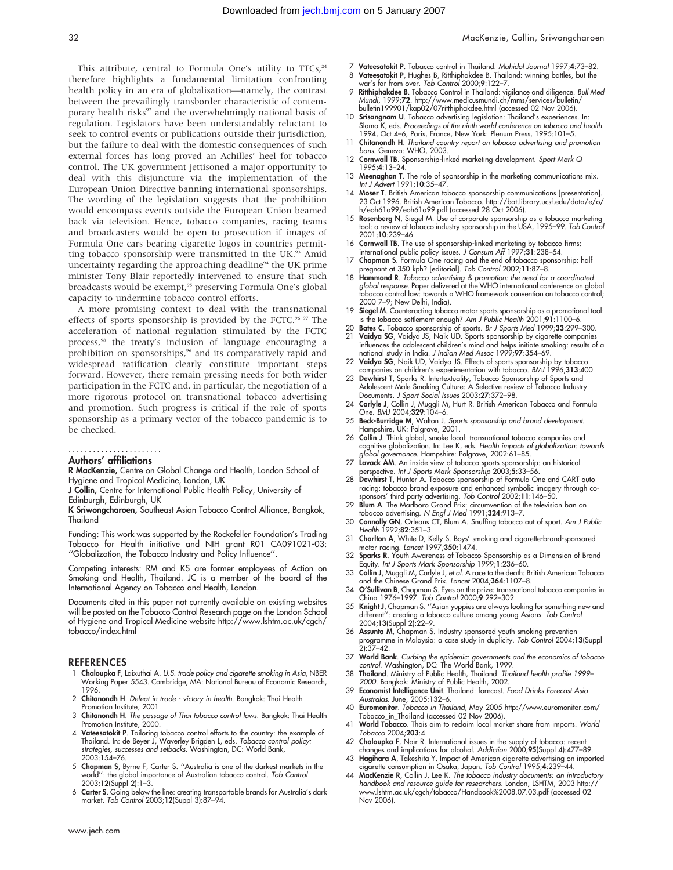This attribute, central to Formula One's utility to  $TTCs<sub>24</sub>$ therefore highlights a fundamental limitation confronting health policy in an era of globalisation—namely, the contrast between the prevailingly transborder characteristic of contemporary health risks<sup>92</sup> and the overwhelmingly national basis of regulation. Legislators have been understandably reluctant to seek to control events or publications outside their jurisdiction, but the failure to deal with the domestic consequences of such external forces has long proved an Achilles' heel for tobacco control. The UK government jettisoned a major opportunity to deal with this disjuncture via the implementation of the European Union Directive banning international sponsorships. The wording of the legislation suggests that the prohibition would encompass events outside the European Union beamed back via television. Hence, tobacco companies, racing teams and broadcasters would be open to prosecution if images of Formula One cars bearing cigarette logos in countries permitting tobacco sponsorship were transmitted in the UK.<sup>93</sup> Amid uncertainty regarding the approaching deadline<sup>94</sup> the UK prime minister Tony Blair reportedly intervened to ensure that such broadcasts would be exempt,<sup>95</sup> preserving Formula One's global capacity to undermine tobacco control efforts.

A more promising context to deal with the transnational effects of sports sponsorship is provided by the FCTC.<sup>96 97</sup> The acceleration of national regulation stimulated by the FCTC process,<sup>98</sup> the treaty's inclusion of language encouraging a prohibition on sponsorships,<sup>96</sup> and its comparatively rapid and widespread ratification clearly constitute important steps forward. However, there remain pressing needs for both wider participation in the FCTC and, in particular, the negotiation of a more rigorous protocol on transnational tobacco advertising and promotion. Such progress is critical if the role of sports sponsorship as a primary vector of the tobacco pandemic is to be checked.

#### Authors' affiliations .......................

R MacKenzie, Centre on Global Change and Health, London School of Hygiene and Tropical Medicine, London, UK

J Collin, Centre for International Public Health Policy, University of

Edinburgh, Edinburgh, UK

K Sriwongcharoen, Southeast Asian Tobacco Control Alliance, Bangkok, Thailand

Funding: This work was supported by the Rockefeller Foundation's Trading Tobacco for Health initiative and NIH grant R01 CA091021-03: ''Globalization, the Tobacco Industry and Policy Influence''.

Competing interests: RM and KS are former employees of Action on Smoking and Health, Thailand. JC is a member of the board of the International Agency on Tobacco and Health, London.

Documents cited in this paper not currently available on existing websites will be posted on the Tobacco Control Research page on the London School of Hygiene and Tropical Medicine website http://www.lshtm.ac.uk/cgch/ tobacco/index.html

#### REFERENCES

- 1 **Chaloupka F**, Laixuthai A. *U.S. trade policy and cigarette smoking in Asia,* NBER<br>Working Paper 5543. Cambridge, MA: National Bureau of Economic Research, 1996.
- 2 Chitanondh H. Defeat in trade victory in health. Bangkok: Thai Health Promotion Institute, 2001.
- 3 Chitanondh H. The passage of Thai tobacco control laws. Bangkok: Thai Health Promotion Institute, 2000.
- 4 Vateesatokit P. Tailoring tobacco control efforts to the country: the example of Thailand. In: de Beyer J, Waverley Brigden L, eds. Tobacco control policy: strategies, successes and setbacks. Washington, DC: World Bank, 2003:154–76.
- 5 Chapman S, Byrne F, Carter S. ''Australia is one of the darkest markets in the world'': the global importance of Australian tobacco control. Tob Control 2003;12(Suppl 2):1–3.
- 6 Carter S. Going below the line: creating transportable brands for Australia's dark market. Tob Control 2003;12(Suppl 3):87–94.
- Vateesatokit P. Tobacco control in Thailand. Mahidol Journal 1997;4:73-82.
- 8 Vateesatokit P, Hughes B, Ritthiphakdee B. Thailand: winning battles, but the war's far from over. Tob Control 2000;9:122–7.
- 9 Ritthiphakdee B. Tobacco Control in Thailand: vigilance and diligence. Bull Med Mundi, 1999;72. http://www.medicusmundi.ch/mms/services/bulletin/ bulletin199901/kap02/07ritthiphakdee.html (accessed 02 Nov 2006).
- 10 Srisangnam U. Tobacco advertising legislation: Thailand's experiences. In: Slama K, eds. Proceedings of the ninth world conference on tobacco and health. 1994, Oct 4–6, Paris, France, New York: Plenum Press, 1995:101–5.
- 11 Chitanondh H. Thailand country report on tobacco advertising and promotion bans. Geneva: WHO, 2003. 12 Cornwall TB. Sponsorship-linked marketing development. Sport Mark Q
- 1995;4:13–24.
- 13 Meenaghan T. The role of sponsorship in the marketing communications mix. Int J Advert 1991;10:35–47.
- 14 Moser T. British American tobacco sponsorship communications [presentation]. 23 Oct 1996. British American Tobacco. http://bat.library.ucsf.edu/data/e/o/ h/eoh61a99/eoh61a99.pdf (accessed 28 Oct 2006). 15 Rosenberg N, Siegel M. Use of corporate sponsorship as a tobacco marketing
- tool: a review of tobacco industry sponsorship in the USA, 1995–99. Tob Control 2001;10:239–46.
- 16 Cornwall TB. The use of sponsorship-linked marketing by tobacco firms: international public policy issues. J Consum Aff 1997;31:238–54.
- 17 Chapman S. Formula One racing and the end of tobacco sponsorship: half pregnant at 350 kph? [editorial]. Tob Control 2002;11:87–8.
- 18 Hammond R. Tobacco advertising & promotion: the need for a coordinated global response. Paper delivered at the WHO international conference on global tobacco control law: towards a WHO framework convention on tobacco control; 2000 7–9; New Delhi, India).
- 19 Siegel M. Counteracting tobacco motor sports sponsorship as a promotional tool: is the tobacco settlement enough? Am J Public Health 2001;91:1100–6.
- 20 Bates C. Tobacco sponsorship of sports. Br J Sports Med 1999;33:299-300.<br>21 Vaidva SG. Vaidva JS. Naik UD. Sports sponsorship by cigarette companies
- 21 Vaidya SG, Vaidya JS, Naik UD. Sports sponsorship by cigarette companies influences the adolescent children's mind and helps initiate smoking: results of a national study in India. J Indian Med Assoc 1999;97:354–69.
- 22 Vaidya SG, Naik UD, Vaidya JS. Effects of sports sponsorship by tobacco companies on children's experimentation with tobacco. BMJ 1996;313:400.
- 23 Dewhirst T, Sparks R. Intertextuality, Tobacco Sponsorship of Sports and Adolescent Male Smoking Culture: A Selective review of Tobacco Industry Documents. J Sport Social Issues 2003;27:372–98.
- 24 Carlyle J, Collin J, Muggli M, Hurt R. British American Tobacco and Formula One. BMJ 2004;329:104–6.
- 25 Beck-Burridge M, Walton J. Sports sponsorship and brand development. Hampshire, UK: Palgrave, 2001.
- 26 Collin J. Think global, smoke local: transnational tobacco companies and cognitive globalization. In: Lee K, eds. Health impacts of globalization: towards global governance. Hampshire: Palgrave, 2002:61–85. 27 Lavack AM. An inside view of tobacco sports sponsorship: an historical
- perspective. Int J Sports Mark Sponsorship 2003;5:33–56.
- 28 Dewhirst T, Hunter A. Tobacco sponsorship of Formula One and CART auto racing: tobacco brand exposure and enhanced symbolic imagery through co-<br>sponsors' third party advertising. *Tob Control* 2002;11:146–50.<br>29 Blum A. The Marlboro Grand Prix: circumvention of the television ban on
- tobacco advertising. N Engl J Med 1991;324:913–7.
- 30 Connolly GN, Orleans CT, Blum A. Snuffing tobacco out of sport. Am J Public Health 1992;82:351–3.
- 31 Charlton A, White D, Kelly S. Boys' smoking and cigarette-brand-sponsored motor racing. Lancet 1997;350:1474.
- 32 Sparks R. Youth Awareness of Tobacco Sponsorship as a Dimension of Brand Equity. Int J Sports Mark Sponsorship 1999;1:236–60.
- 33 Collin J, Muggli M, Carlyle J, et al. A race to the death: British American Tobacco and the Chinese Grand Prix. Lancet 2004;364:1107–8.
- 34 O'Sullivan B, Chapman S. Eyes on the prize: transnational tobacco companies in China 1976–1997. Tob Control 2000;9:292–302.
- 35 Knight J, Chapman S. ''Asian yuppies are always looking for something new and different'': creating a tobacco culture among young Asians. Tob Control 2004;13(Suppl 2):22–9.
- 36 Assunta M, Chapman S. Industry sponsored youth smoking prevention programme in Malaysia: a case study in duplicity. *Tob Control* 2004;**13(**Suppl<br>2):37–42.
- 37 World Bank. Curbing the epidemic: governments and the economics of tobacco<br>control. Washington, DC: The World Bank, 1999.<br>38 Thailand. Ministry of Public Health, Thailand. Thailand health profile 1999–<br>2000. Bangkok: Mi
- 
- 39 Economist Intelligence Unit. Thailand: forecast. Food Drinks Forecast Asia Australas. June, 2005:132–6.
- 40 Euromonitor. Tobacco in Thailand, May 2005 http://www.euromonitor.com/ Tobacco in Thailand (accessed 02 Nov 2006).
- 41 World Tobacco. Thais aim to reclaim local market share from imports. World Tobacco 2004;203:4.
- 42 Chaloupka F, Nair R. International issues in the supply of tobacco: recent changes and implications for alcohol. Addiction 2000;95(Suppl 4):477–89.
- 43 Hagihara A, Takeshita Y. Impact of American cigarette advertising on imported
- cigarette consumption in Osaka, Japan. Tob Control 1995;4:239–44.<br>44 MacKenzie R, Collin J, Lee K. The tobacco industry documents: an introductory handbook and resource guide for researchers. London, LSHTM, 2003 http:// www.lshtm.ac.uk/cgch/tobacco/Handbook%2008.07.03.pdf (accessed 02 Nov 2006).